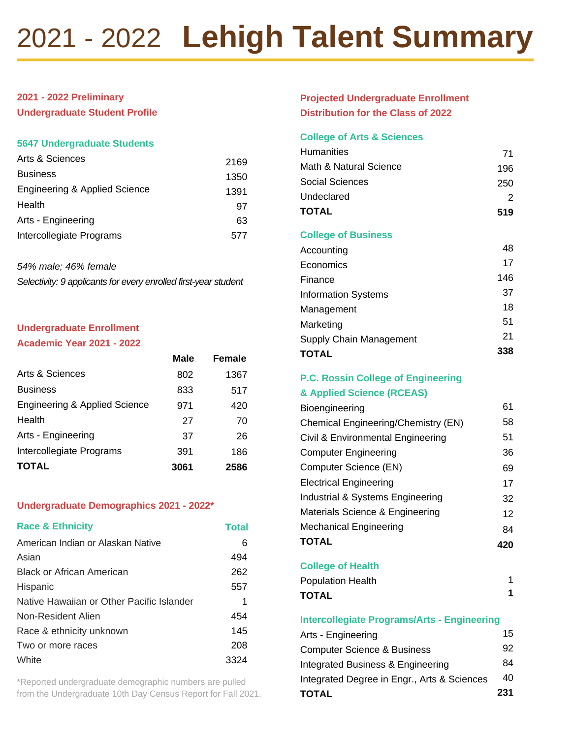# 2021 - 2022 **Lehigh Talent Summary**

# **2021 - 2022 Preliminary**

**Undergraduate Student Profile**

#### **5647 Undergraduate Students**

| Arts & Sciences               | 2169 |
|-------------------------------|------|
| <b>Business</b>               | 1350 |
| Engineering & Applied Science | 1391 |
| Health                        | 97   |
| Arts - Engineering            | 63   |
| Intercollegiate Programs      | 577  |

*54% male; 46% female Selectivity: 9 applicants for every enrolled first-year student*

# **Undergraduate Enrollment**

#### **Academic Year 2021 - 2022**

|                               | <b>Male</b> | Female |
|-------------------------------|-------------|--------|
| Arts & Sciences               | 802         | 1367   |
| <b>Business</b>               | 833         | 517    |
| Engineering & Applied Science | 971         | 420    |
| Health                        | 27          | 70     |
| Arts - Engineering            | 37          | 26     |
| Intercollegiate Programs      | 391         | 186    |
| <b>TOTAL</b>                  | 3061        | 2586   |

## **Undergraduate Demographics 2021 - 2022\***

| <b>Race &amp; Ethnicity</b>               | <b>Total</b> |
|-------------------------------------------|--------------|
| American Indian or Alaskan Native         | 6            |
| Asian                                     | 494          |
| Black or African American                 | 262          |
| Hispanic                                  | 557          |
| Native Hawaiian or Other Pacific Islander | 1            |
| Non-Resident Alien                        | 454          |
| Race & ethnicity unknown                  | 145          |
| Two or more races                         | 208          |
| White                                     | 3324         |

\*Reported undergraduate demographic numbers are pulled from the Undergraduate 10th Day Census Report for Fall 2021.

# **Projected Undergraduate Enrollment Distribution for the Class of 2022**

# **College of Arts & Sciences**

| <b>Humanities</b>          | 71  |
|----------------------------|-----|
| Math & Natural Science     | 196 |
| Social Sciences            | 250 |
| Undeclared                 | 2   |
| <b>TOTAL</b>               | 519 |
| <b>College of Business</b> |     |
| Accounting                 | 48  |
| Economics                  | 17  |
| Finance                    | 146 |
| <b>Information Systems</b> | 37  |
| Management                 | 18  |
| Marketing                  | 51  |
| Supply Chain Management    | 21  |
| TOTAL                      | 338 |

# **P.C. Rossin College of Engineering**

#### **& Applied Science (RCEAS)**

| Bioengineering                      | 61 |
|-------------------------------------|----|
| Chemical Engineering/Chemistry (EN) | 58 |
| Civil & Environmental Engineering   | 51 |
| <b>Computer Engineering</b>         | 36 |
| Computer Science (EN)               | 69 |
| <b>Electrical Engineering</b>       | 17 |
| Industrial & Systems Engineering    | 32 |
| Materials Science & Engineering     | 12 |
| <b>Mechanical Engineering</b>       | 84 |
| <b>TOTAL</b>                        |    |

**College of Health**

```
Population Health
TOTAL
                                           1
                                           1
```
#### **Intercollegiate Programs/Arts - Engineering**

| <b>TOTAL</b>                                | 231 |
|---------------------------------------------|-----|
| Integrated Degree in Engr., Arts & Sciences | 40  |
| Integrated Business & Engineering           | 84  |
| <b>Computer Science &amp; Business</b>      | 92  |
| Arts - Engineering                          | 15  |